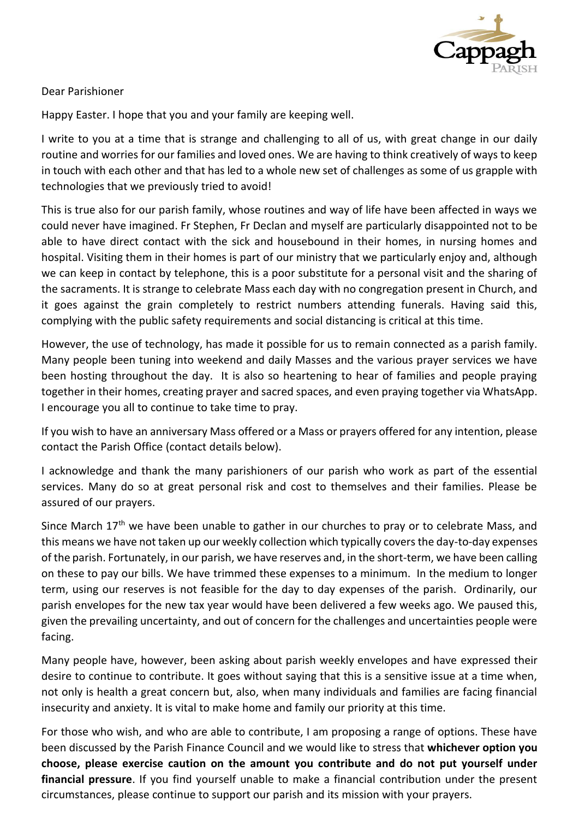

## Dear Parishioner

Happy Easter. I hope that you and your family are keeping well.

I write to you at a time that is strange and challenging to all of us, with great change in our daily routine and worries for our families and loved ones. We are having to think creatively of ways to keep in touch with each other and that has led to a whole new set of challenges as some of us grapple with technologies that we previously tried to avoid!

This is true also for our parish family, whose routines and way of life have been affected in ways we could never have imagined. Fr Stephen, Fr Declan and myself are particularly disappointed not to be able to have direct contact with the sick and housebound in their homes, in nursing homes and hospital. Visiting them in their homes is part of our ministry that we particularly enjoy and, although we can keep in contact by telephone, this is a poor substitute for a personal visit and the sharing of the sacraments. It is strange to celebrate Mass each day with no congregation present in Church, and it goes against the grain completely to restrict numbers attending funerals. Having said this, complying with the public safety requirements and social distancing is critical at this time.

However, the use of technology, has made it possible for us to remain connected as a parish family. Many people been tuning into weekend and daily Masses and the various prayer services we have been hosting throughout the day. It is also so heartening to hear of families and people praying together in their homes, creating prayer and sacred spaces, and even praying together via WhatsApp. I encourage you all to continue to take time to pray.

If you wish to have an anniversary Mass offered or a Mass or prayers offered for any intention, please contact the Parish Office (contact details below).

I acknowledge and thank the many parishioners of our parish who work as part of the essential services. Many do so at great personal risk and cost to themselves and their families. Please be assured of our prayers.

Since March  $17<sup>th</sup>$  we have been unable to gather in our churches to pray or to celebrate Mass, and this means we have not taken up our weekly collection which typically covers the day-to-day expenses of the parish. Fortunately, in our parish, we have reserves and, in the short-term, we have been calling on these to pay our bills. We have trimmed these expenses to a minimum. In the medium to longer term, using our reserves is not feasible for the day to day expenses of the parish. Ordinarily, our parish envelopes for the new tax year would have been delivered a few weeks ago. We paused this, given the prevailing uncertainty, and out of concern for the challenges and uncertainties people were facing.

Many people have, however, been asking about parish weekly envelopes and have expressed their desire to continue to contribute. It goes without saying that this is a sensitive issue at a time when, not only is health a great concern but, also, when many individuals and families are facing financial insecurity and anxiety. It is vital to make home and family our priority at this time.

For those who wish, and who are able to contribute, I am proposing a range of options. These have been discussed by the Parish Finance Council and we would like to stress that **whichever option you choose, please exercise caution on the amount you contribute and do not put yourself under financial pressure**. If you find yourself unable to make a financial contribution under the present circumstances, please continue to support our parish and its mission with your prayers.